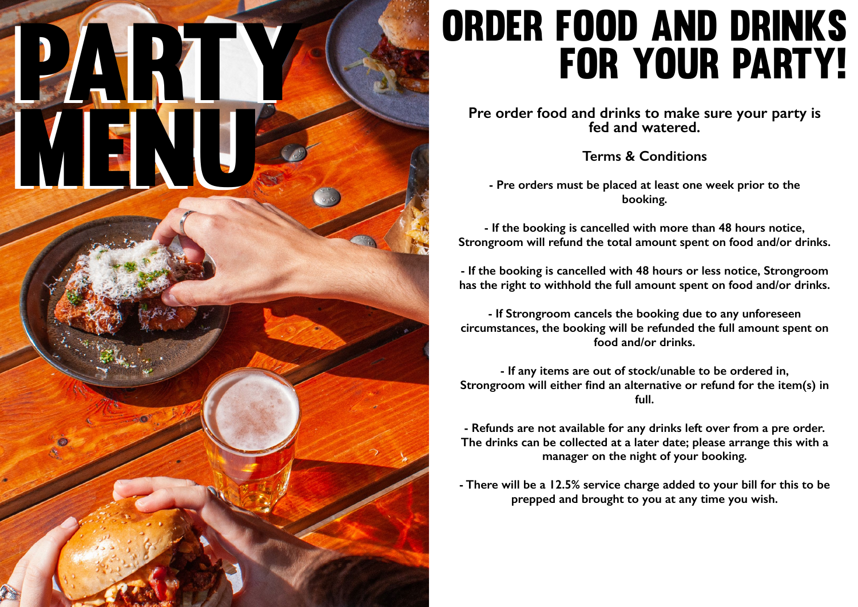# party. menu menu

## Order food and drinks for your party!

**Pre order food and drinks to make sure your party is fed and watered.**

**Terms & Conditions**

**- Pre orders must be placed at least one week prior to the booking.**

**- If the booking is cancelled with more than 48 hours notice, Strongroom will refund the total amount spent on food and/or drinks.**

**- If the booking is cancelled with 48 hours or less notice, Strongroom has the right to withhold the full amount spent on food and/or drinks.**

**- If Strongroom cancels the booking due to any unforeseen circumstances, the booking will be refunded the full amount spent on food and/or drinks.**

**- If any items are out of stock/unable to be ordered in, Strongroom will either find an alternative or refund for the item(s) in full.**

**- Refunds are not available for any drinks left over from a pre order. The drinks can be collected at a later date; please arrange this with a manager on the night of your booking.**

**- There will be a 12.5% service charge added to your bill for this to be prepped and brought to you at any time you wish.**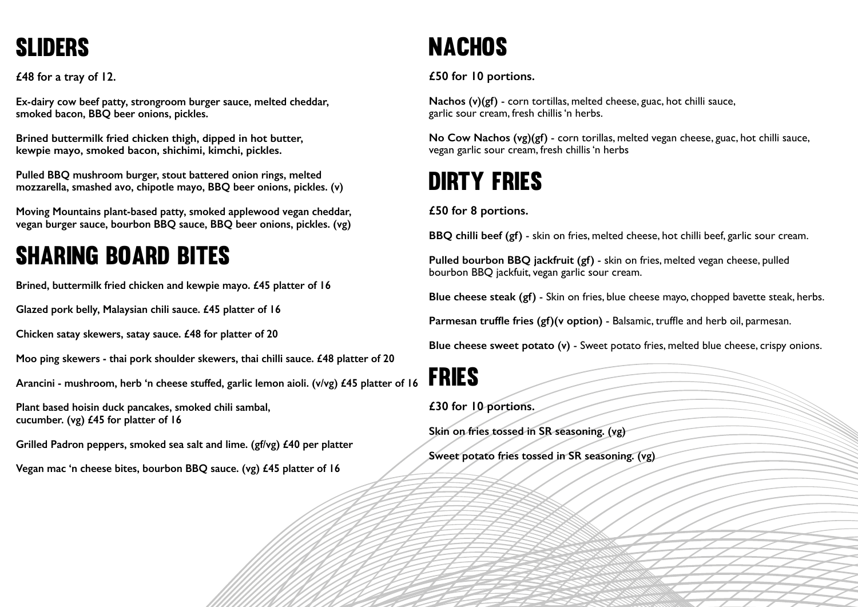## **SLIDERS**

**£48 for a tray of 12.**

**Ex-dairy cow beef patty, strongroom burger sauce, melted cheddar, smoked bacon, BBQ beer onions, pickles.**

**Brined buttermilk fried chicken thigh, dipped in hot butter, kewpie mayo, smoked bacon, shichimi, kimchi, pickles.**

**Pulled BBQ mushroom burger, stout battered onion rings, melted mozzarella, smashed avo, chipotle mayo, BBQ beer onions, pickles. (v)**

**Moving Mountains plant-based patty, smoked applewood vegan cheddar, vegan burger sauce, bourbon BBQ sauce, BBQ beer onions, pickles. (vg)**

## Sharing Board Bites

**Brined, buttermilk fried chicken and kewpie mayo. £45 platter of 16**

**Glazed pork belly, Malaysian chili sauce. £45 platter of 16**

**Chicken satay skewers, satay sauce. £48 for platter of 20**

**Moo ping skewers - thai pork shoulder skewers, thai chilli sauce. £48 platter of 20**

**Arancini - mushroom, herb 'n cheese stuffed, garlic lemon aioli. (v/vg) £45 platter of 16**

**Plant based hoisin duck pancakes, smoked chili sambal, cucumber. (vg) £45 for platter of 16**

**Grilled Padron peppers, smoked sea salt and lime. (gf/vg) £40 per platter**

**Vegan mac 'n cheese bites, bourbon BBQ sauce. (vg) £45 platter of 16**

## **NACHOS**

**£50 for 10 portions.**

**Nachos (v)(gf)** - corn tortillas, melted cheese, guac, hot chilli sauce, garlic sour cream, fresh chillis 'n herbs.

**No Cow Nachos (vg)(gf)** - corn torillas, melted vegan cheese, guac, hot chilli sauce, vegan garlic sour cream, fresh chillis 'n herbs

## Dirty fries

**£50 for 8 portions.**

**BBQ chilli beef (gf)** - skin on fries, melted cheese, hot chilli beef, garlic sour cream.

**Pulled bourbon BBQ jackfruit (gf)** - skin on fries, melted vegan cheese, pulled bourbon BBQ jackfuit, vegan garlic sour cream.

**Blue cheese steak (gf)** - Skin on fries, blue cheese mayo, chopped bavette steak, herbs.

**Parmesan truffle fries (gf)(v option)** - Balsamic, truffle and herb oil, parmesan.

**Blue cheese sweet potato (v)** - Sweet potato fries, melted blue cheese, crispy onions.

fries

**£30 for 10 portions.**

**Skin on fries tossed in SR seasoning. (vg)**

**Sweet potato fries tossed in SR seasoning. (vg)**